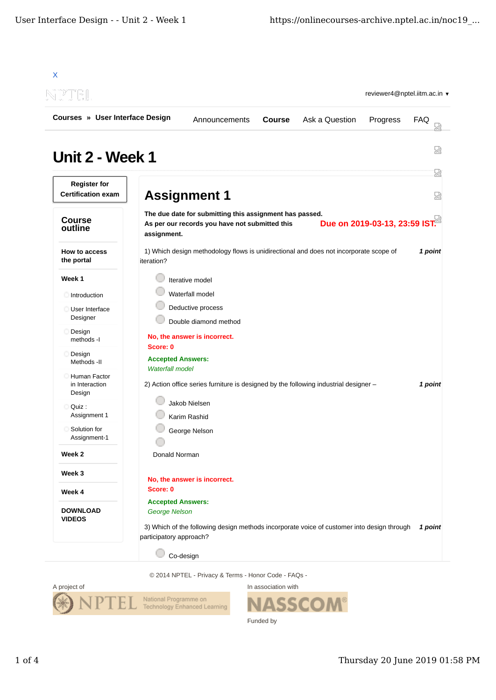| Courses » User Interface Design                  | Ask a Question<br><b>Course</b><br>Progress<br>Announcements                                                                                              | FAQ     |
|--------------------------------------------------|-----------------------------------------------------------------------------------------------------------------------------------------------------------|---------|
|                                                  |                                                                                                                                                           |         |
| <b>Unit 2 - Week 1</b>                           |                                                                                                                                                           | 덣       |
| <b>Register for</b><br><b>Certification exam</b> | <b>Assignment 1</b>                                                                                                                                       | 疏<br>쩒  |
| <b>Course</b><br>outline                         | The due date for submitting this assignment has passed.<br>Due on 2019-03-13, 23:59 IST.<br>As per our records you have not submitted this<br>assignment. |         |
| How to access<br>the portal                      | 1) Which design methodology flows is unidirectional and does not incorporate scope of<br>iteration?                                                       | 1 point |
| Week 1                                           | Iterative model                                                                                                                                           |         |
| Introduction                                     | Waterfall model                                                                                                                                           |         |
| User Interface<br>Designer                       | Deductive process<br>Double diamond method                                                                                                                |         |
| Design<br>methods -I                             | No, the answer is incorrect.<br>Score: 0                                                                                                                  |         |
| Design<br>Methods -II                            | <b>Accepted Answers:</b>                                                                                                                                  |         |
| Human Factor<br>in Interaction<br>Design         | <b>Waterfall model</b><br>2) Action office series furniture is designed by the following industrial designer -                                            | 1 point |
| Quiz:                                            | Jakob Nielsen                                                                                                                                             |         |
| Assignment 1                                     | Karim Rashid                                                                                                                                              |         |
| Solution for<br>Assignment-1                     | George Nelson                                                                                                                                             |         |
| Week 2                                           | Donald Norman                                                                                                                                             |         |
| Week 3                                           |                                                                                                                                                           |         |
| Week 4                                           | No, the answer is incorrect.<br>Score: 0                                                                                                                  |         |
| <b>DOWNLOAD</b><br><b>VIDEOS</b>                 | <b>Accepted Answers:</b><br>George Nelson                                                                                                                 |         |
|                                                  | 3) Which of the following design methods incorporate voice of customer into design through                                                                | 1 point |

© 2014 NPTEL - Privacy & Terms - Honor Code - FAQs -



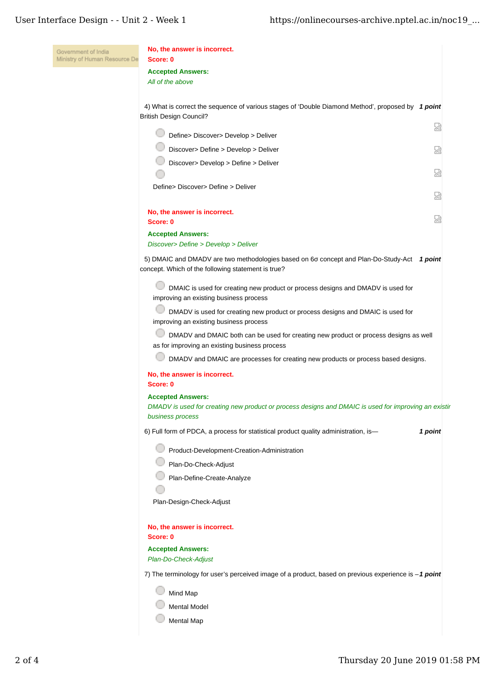| Government of India<br>Ministry of Human Resource De | No, the answer is incorrect.<br>Score: 0                                                                                                             |         |
|------------------------------------------------------|------------------------------------------------------------------------------------------------------------------------------------------------------|---------|
|                                                      | <b>Accepted Answers:</b><br>All of the above                                                                                                         |         |
|                                                      | 4) What is correct the sequence of various stages of 'Double Diamond Method', proposed by 1 point                                                    |         |
|                                                      | <b>British Design Council?</b>                                                                                                                       | 덣       |
|                                                      | Define> Discover> Develop > Deliver                                                                                                                  |         |
|                                                      | Discover> Define > Develop > Deliver                                                                                                                 | 덣       |
|                                                      | Discover> Develop > Define > Deliver                                                                                                                 | 図       |
|                                                      | Define> Discover> Define > Deliver                                                                                                                   | 囹       |
|                                                      | No, the answer is incorrect.<br>Score: 0                                                                                                             | 圀       |
|                                                      | <b>Accepted Answers:</b>                                                                                                                             |         |
|                                                      | Discover> Define > Develop > Deliver<br>5) DMAIC and DMADV are two methodologies based on 60 concept and Plan-Do-Study-Act 1 point                   |         |
|                                                      | concept. Which of the following statement is true?                                                                                                   |         |
|                                                      | DMAIC is used for creating new product or process designs and DMADV is used for<br>improving an existing business process                            |         |
|                                                      | DMADV is used for creating new product or process designs and DMAIC is used for<br>improving an existing business process                            |         |
|                                                      | DMADV and DMAIC both can be used for creating new product or process designs as well<br>as for improving an existing business process                |         |
|                                                      | DMADV and DMAIC are processes for creating new products or process based designs.                                                                    |         |
|                                                      | No, the answer is incorrect.<br>Score: 0                                                                                                             |         |
|                                                      | <b>Accepted Answers:</b><br>DMADV is used for creating new product or process designs and DMAIC is used for improving an existir<br>business process |         |
|                                                      | 6) Full form of PDCA, a process for statistical product quality administration, is-                                                                  | 1 point |
|                                                      | Product-Development-Creation-Administration                                                                                                          |         |
|                                                      | Plan-Do-Check-Adjust                                                                                                                                 |         |
|                                                      | Plan-Define-Create-Analyze                                                                                                                           |         |
|                                                      | Plan-Design-Check-Adjust                                                                                                                             |         |
|                                                      | No, the answer is incorrect.<br>Score: 0                                                                                                             |         |
|                                                      | <b>Accepted Answers:</b><br>Plan-Do-Check-Adjust                                                                                                     |         |
|                                                      | 7) The terminology for user's perceived image of a product, based on previous experience is $-1$ point                                               |         |
|                                                      | Mind Map                                                                                                                                             |         |
|                                                      | <b>Mental Model</b>                                                                                                                                  |         |
|                                                      | Mental Map                                                                                                                                           |         |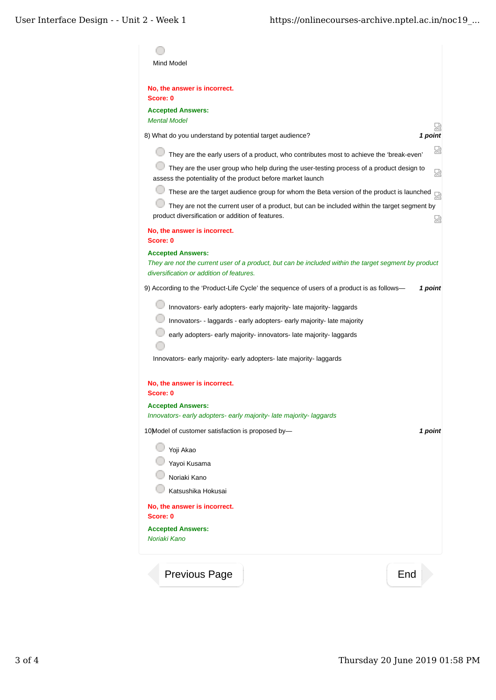| Mind Model                                                                                                                                                                   |         |
|------------------------------------------------------------------------------------------------------------------------------------------------------------------------------|---------|
| No, the answer is incorrect.<br>Score: 0                                                                                                                                     |         |
| <b>Accepted Answers:</b><br><b>Mental Model</b>                                                                                                                              |         |
| 8) What do you understand by potential target audience?                                                                                                                      | 1 point |
| They are the early users of a product, who contributes most to achieve the 'break-even'                                                                                      |         |
| They are the user group who help during the user-testing process of a product design to<br>assess the potentiality of the product before market launch                       |         |
| These are the target audience group for whom the Beta version of the product is launched                                                                                     |         |
| They are not the current user of a product, but can be included within the target segment by<br>product diversification or addition of features.                             |         |
| No, the answer is incorrect.<br>Score: 0                                                                                                                                     |         |
| <b>Accepted Answers:</b><br>They are not the current user of a product, but can be included within the target segment by product<br>diversification or addition of features. |         |
| 9) According to the 'Product-Life Cycle' the sequence of users of a product is as follows—                                                                                   | 1 point |
| Innovators- early adopters- early majority-late majority-laggards                                                                                                            |         |
| Innovators- - laggards - early adopters- early majority- late majority                                                                                                       |         |
| early adopters- early majority- innovators- late majority- laggards                                                                                                          |         |
| Innovators- early majority- early adopters- late majority- laggards                                                                                                          |         |
| No, the answer is incorrect.<br>Score: 0                                                                                                                                     |         |
| <b>Accepted Answers:</b>                                                                                                                                                     |         |
| Innovators- early adopters- early majority-late majority-laggards                                                                                                            |         |
| 10) Model of customer satisfaction is proposed by-                                                                                                                           | 1 point |
| Yoji Akao                                                                                                                                                                    |         |
| Yayoi Kusama                                                                                                                                                                 |         |
| Noriaki Kano                                                                                                                                                                 |         |
| Katsushika Hokusai                                                                                                                                                           |         |
| No, the answer is incorrect.<br>Score: 0                                                                                                                                     |         |
| <b>Accepted Answers:</b><br>Noriaki Kano                                                                                                                                     |         |
| <b>Previous Page</b>                                                                                                                                                         | End     |